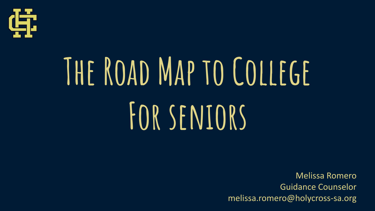

# **The Road Map to College For seniors**

Melissa Romero Guidance Counselor melissa.romero@holycross-sa.org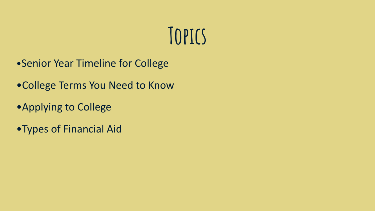### **Topics**

- •Senior Year Timeline for College
- •College Terms You Need to Know
- •Applying to College
- •Types of Financial Aid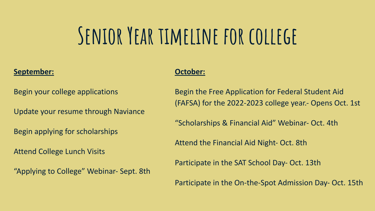### **Senior Year timeline for college**

#### **September:**

Begin your college applications

Update your resume through Naviance

Begin applying for scholarships

Attend College Lunch Visits

"Applying to College" Webinar- Sept. 8th

#### **October:**

Begin the Free Application for Federal Student Aid (FAFSA) for the 2022-2023 college year.- Opens Oct. 1st

"Scholarships & Financial Aid" Webinar- Oct. 4th

Attend the Financial Aid Night- Oct. 8th

Participate in the SAT School Day- Oct. 13th

Participate in the On-the-Spot Admission Day- Oct. 15th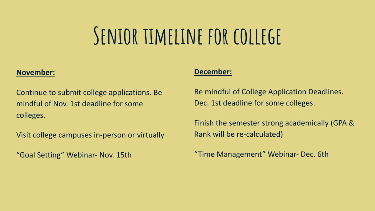### **Senior timeline for college**

#### **November:**

Continue to submit college applications. Be mindful of Nov. 1st deadline for some colleges.

Visit college campuses in-person or virtually

"Goal Setting" Webinar- Nov. 15th

#### **December:**

Be mindful of College Application Deadlines. Dec. 1st deadline for some colleges.

Finish the semester strong academically (GPA & Rank will be re-calculated)

"Time Management" Webinar- Dec. 6th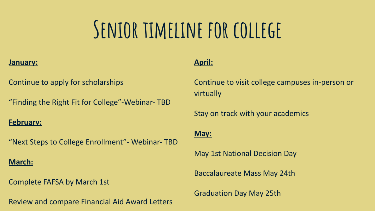## **Senior timeline for college**

#### **January:**

Continue to apply for scholarships

"Finding the Right Fit for College"-Webinar- TBD

#### **February:**

"Next Steps to College Enrollment"- Webinar- TBD

#### **March:**

Complete FAFSA by March 1st

Review and compare Financial Aid Award Letters

#### **April:**

Continue to visit college campuses in-person or virtually

Stay on track with your academics

#### **May:**

May 1st National Decision Day

Baccalaureate Mass May 24th

Graduation Day May 25th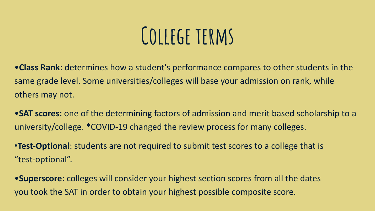### **College terms**

•**Class Rank**: determines how a student's performance compares to other students in the same grade level. Some universities/colleges will base your admission on rank, while others may not.

•**SAT scores:** one of the determining factors of admission and merit based scholarship to a university/college. \*COVID-19 changed the review process for many colleges.

•**Test-Optional**: students are not required to submit test scores to a college that is "test-optional".

•**Superscore**: colleges will consider your highest section scores from all the dates you took the SAT in order to obtain your highest possible composite score.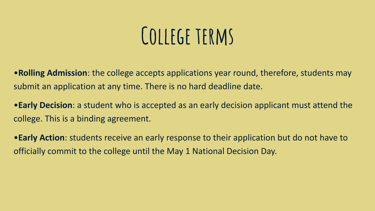### **College terms**

•**Rolling Admission**: the college accepts applications year round, therefore, students may submit an application at any time. There is no hard deadline date.

•**Early Decision**: a student who is accepted as an early decision applicant must attend the college. This is a binding agreement.

•**Early Action**: students receive an early response to their application but do not have to officially commit to the college until the May 1 National Decision Day.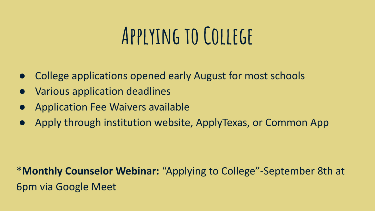### **Applying to College**

- College applications opened early August for most schools
- Various application deadlines
- **Application Fee Waivers available**
- Apply through institution website, ApplyTexas, or Common App

### \***Monthly Counselor Webinar:** "Applying to College"-September 8th at 6pm via Google Meet